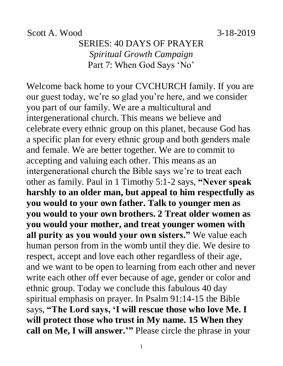#### Scott A. Wood 3-18-2019

### SERIES: 40 DAYS OF PRAYER *Spiritual Growth Campaign* Part 7: When God Says 'No'

Welcome back home to your CVCHURCH family. If you are our guest today, we're so glad you're here, and we consider you part of our family. We are a multicultural and intergenerational church. This means we believe and celebrate every ethnic group on this planet, because God has a specific plan for every ethnic group and both genders male and female. We are better together. We are to commit to accepting and valuing each other. This means as an intergenerational church the Bible says we're to treat each other as family. Paul in 1 Timothy 5:1-2 says, **"Never speak harshly to an older man, but appeal to him respectfully as you would to your own father. Talk to younger men as you would to your own brothers. 2 Treat older women as you would your mother, and treat younger women with all purity as you would your own sisters."** We value each human person from in the womb until they die. We desire to respect, accept and love each other regardless of their age, and we want to be open to learning from each other and never write each other off ever because of age, gender or color and ethnic group. Today we conclude this fabulous 40 day spiritual emphasis on prayer. In Psalm 91:14-15 the Bible says, **"The Lord says, 'I will rescue those who love Me. I will protect those who trust in My name. 15 When they call on Me, I will answer.'"** Please circle the phrase in your

1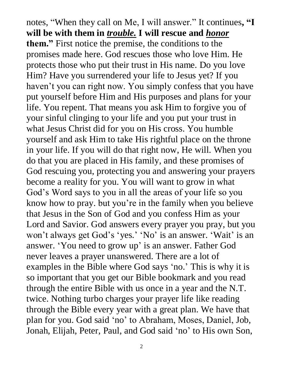notes, "When they call on Me, I will answer." It continues**, "I will be with them in** *trouble.* **I will rescue and** *honor*  **them."** First notice the premise, the conditions to the promises made here. God rescues those who love Him. He protects those who put their trust in His name. Do you love Him? Have you surrendered your life to Jesus yet? If you haven't you can right now. You simply confess that you have put yourself before Him and His purposes and plans for your life. You repent. That means you ask Him to forgive you of your sinful clinging to your life and you put your trust in what Jesus Christ did for you on His cross. You humble yourself and ask Him to take His rightful place on the throne in your life. If you will do that right now, He will. When you do that you are placed in His family, and these promises of God rescuing you, protecting you and answering your prayers become a reality for you. You will want to grow in what God's Word says to you in all the areas of your life so you know how to pray. but you're in the family when you believe that Jesus in the Son of God and you confess Him as your Lord and Savior. God answers every prayer you pray, but you won't always get God's 'yes.' 'No' is an answer. 'Wait' is an answer. 'You need to grow up' is an answer. Father God never leaves a prayer unanswered. There are a lot of examples in the Bible where God says 'no.' This is why it is so important that you get our Bible bookmark and you read through the entire Bible with us once in a year and the N.T. twice. Nothing turbo charges your prayer life like reading through the Bible every year with a great plan. We have that plan for you. God said 'no' to Abraham, Moses, Daniel, Job, Jonah, Elijah, Peter, Paul, and God said 'no' to His own Son,

2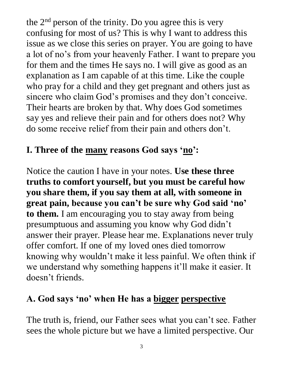the 2<sup>nd</sup> person of the trinity. Do you agree this is very confusing for most of us? This is why I want to address this issue as we close this series on prayer. You are going to have a lot of no's from your heavenly Father. I want to prepare you for them and the times He says no. I will give as good as an explanation as I am capable of at this time. Like the couple who pray for a child and they get pregnant and others just as sincere who claim God's promises and they don't conceive. Their hearts are broken by that. Why does God sometimes say yes and relieve their pain and for others does not? Why do some receive relief from their pain and others don't.

## **I. Three of the many reasons God says 'no':**

Notice the caution I have in your notes. **Use these three truths to comfort yourself, but you must be careful how you share them, if you say them at all, with someone in great pain, because you can't be sure why God said 'no' to them.** I am encouraging you to stay away from being presumptuous and assuming you know why God didn't answer their prayer. Please hear me. Explanations never truly offer comfort. If one of my loved ones died tomorrow knowing why wouldn't make it less painful. We often think if we understand why something happens it'll make it easier. It doesn't friends.

## **A. God says 'no' when He has a bigger perspective**

The truth is, friend, our Father sees what you can't see. Father sees the whole picture but we have a limited perspective. Our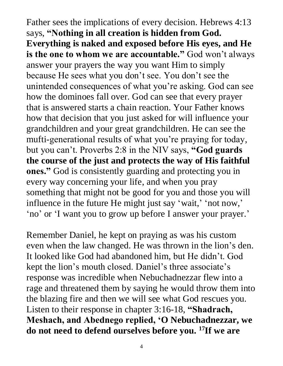Father sees the implications of every decision. Hebrews 4:13 says, **"Nothing in all creation is hidden from God. Everything is naked and exposed before His eyes, and He is the one to whom we are accountable."** God won't always answer your prayers the way you want Him to simply because He sees what you don't see. You don't see the unintended consequences of what you're asking. God can see how the dominoes fall over. God can see that every prayer that is answered starts a chain reaction. Your Father knows how that decision that you just asked for will influence your grandchildren and your great grandchildren. He can see the mufti-generational results of what you're praying for today, but you can't. Proverbs 2:8 in the NIV says, **"God guards the course of the just and protects the way of His faithful ones."** God is consistently guarding and protecting you in every way concerning your life, and when you pray something that might not be good for you and those you will influence in the future He might just say 'wait,' 'not now,' 'no' or 'I want you to grow up before I answer your prayer.'

Remember Daniel, he kept on praying as was his custom even when the law changed. He was thrown in the lion's den. It looked like God had abandoned him, but He didn't. God kept the lion's mouth closed. Daniel's three associate's response was incredible when Nebuchadnezzar flew into a rage and threatened them by saying he would throw them into the blazing fire and then we will see what God rescues you. Listen to their response in chapter 3:16-18, **"Shadrach, Meshach, and Abednego replied, 'O Nebuchadnezzar, we do not need to defend ourselves before you. 17If we are**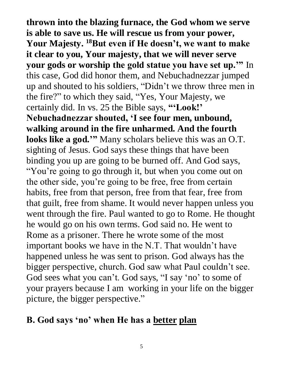**thrown into the blazing furnace, the God whom we serve is able to save us. He will rescue us from your power, Your Majesty. <sup>18</sup>But even if He doesn't, we want to make it clear to you, Your majesty, that we will never serve your gods or worship the gold statue you have set up.'"** In this case, God did honor them, and Nebuchadnezzar jumped up and shouted to his soldiers, "Didn't we throw three men in the fire?" to which they said, "Yes, Your Majesty, we certainly did. In vs. 25 the Bible says, **"'Look!' Nebuchadnezzar shouted, 'I see four men, unbound, walking around in the fire unharmed. And the fourth looks like a god.'"** Many scholars believe this was an O.T. sighting of Jesus. God says these things that have been binding you up are going to be burned off. And God says, "You're going to go through it, but when you come out on the other side, you're going to be free, free from certain habits, free from that person, free from that fear, free from that guilt, free from shame. It would never happen unless you went through the fire. Paul wanted to go to Rome. He thought he would go on his own terms. God said no. He went to Rome as a prisoner. There he wrote some of the most important books we have in the N.T. That wouldn't have happened unless he was sent to prison. God always has the bigger perspective, church. God saw what Paul couldn't see. God sees what you can't. God says, "I say 'no' to some of your prayers because I am working in your life on the bigger picture, the bigger perspective."

#### **B. God says 'no' when He has a better plan**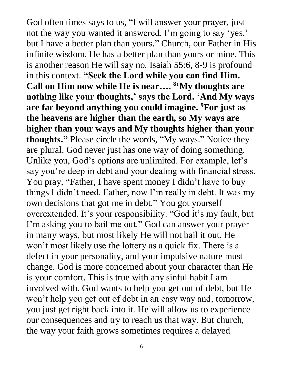God often times says to us, "I will answer your prayer, just not the way you wanted it answered. I'm going to say 'yes,' but I have a better plan than yours." Church, our Father in His infinite wisdom, He has a better plan than yours or mine. This is another reason He will say no. Isaiah 55:6, 8-9 is profound in this context. **"Seek the Lord while you can find Him. Call on Him now while He is near…. 8 'My thoughts are nothing like your thoughts,' says the Lord. 'And My ways are far beyond anything you could imagine. <sup>9</sup>For just as the heavens are higher than the earth, so My ways are higher than your ways and My thoughts higher than your thoughts."** Please circle the words, "My ways." Notice they are plural. God never just has one way of doing something. Unlike you, God's options are unlimited. For example, let's say you're deep in debt and your dealing with financial stress. You pray, "Father, I have spent money I didn't have to buy things I didn't need. Father, now I'm really in debt. It was my own decisions that got me in debt." You got yourself overextended. It's your responsibility. "God it's my fault, but I'm asking you to bail me out." God can answer your prayer in many ways, but most likely He will not bail it out. He won't most likely use the lottery as a quick fix. There is a defect in your personality, and your impulsive nature must change. God is more concerned about your character than He is your comfort. This is true with any sinful habit I am involved with. God wants to help you get out of debt, but He won't help you get out of debt in an easy way and, tomorrow, you just get right back into it. He will allow us to experience our consequences and try to reach us that way. But church, the way your faith grows sometimes requires a delayed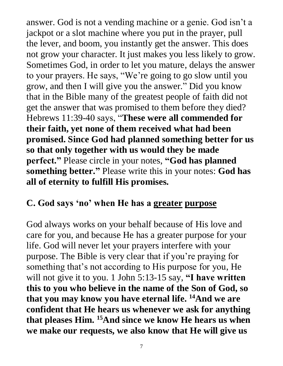answer. God is not a vending machine or a genie. God isn't a jackpot or a slot machine where you put in the prayer, pull the lever, and boom, you instantly get the answer. This does not grow your character. It just makes you less likely to grow. Sometimes God, in order to let you mature, delays the answer to your prayers. He says, "We're going to go slow until you grow, and then I will give you the answer." Did you know that in the Bible many of the greatest people of faith did not get the answer that was promised to them before they died? Hebrews 11:39-40 says, "**These were all commended for their faith, yet none of them received what had been promised. Since God had planned something better for us so that only together with us would they be made perfect."** Please circle in your notes, **"God has planned something better."** Please write this in your notes: **God has all of eternity to fulfill His promises.** 

#### **C. God says 'no' when He has a greater purpose**

God always works on your behalf because of His love and care for you, and because He has a greater purpose for your life. God will never let your prayers interfere with your purpose. The Bible is very clear that if you're praying for something that's not according to His purpose for you, He will not give it to you. 1 John 5:13-15 say, **"I have written this to you who believe in the name of the Son of God, so that you may know you have eternal life. <sup>14</sup>And we are confident that He hears us whenever we ask for anything that pleases Him. <sup>15</sup>And since we know He hears us when we make our requests, we also know that He will give us**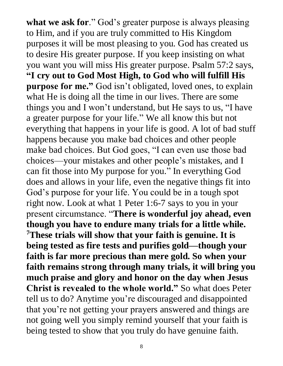**what we ask for**." God's greater purpose is always pleasing to Him, and if you are truly committed to His Kingdom purposes it will be most pleasing to you. God has created us to desire His greater purpose. If you keep insisting on what you want you will miss His greater purpose. Psalm 57:2 says, **"I cry out to God Most High, to God who will fulfill His purpose for me."** God isn't obligated, loved ones, to explain what He is doing all the time in our lives. There are some things you and I won't understand, but He says to us, "I have a greater purpose for your life." We all know this but not everything that happens in your life is good. A lot of bad stuff happens because you make bad choices and other people make bad choices. But God goes, "I can even use those bad choices—your mistakes and other people's mistakes, and I can fit those into My purpose for you." In everything God does and allows in your life, even the negative things fit into God's purpose for your life. You could be in a tough spot right now. Look at what 1 Peter 1:6-7 says to you in your present circumstance. "**There is wonderful joy ahead, even though you have to endure many trials for a little while. <sup>7</sup>These trials will show that your faith is genuine. It is being tested as fire tests and purifies gold—though your faith is far more precious than mere gold. So when your faith remains strong through many trials, it will bring you much praise and glory and honor on the day when Jesus Christ is revealed to the whole world."** So what does Peter tell us to do? Anytime you're discouraged and disappointed that you're not getting your prayers answered and things are not going well you simply remind yourself that your faith is being tested to show that you truly do have genuine faith.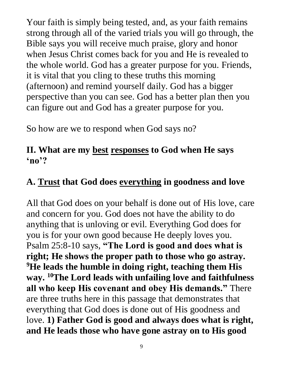Your faith is simply being tested, and, as your faith remains strong through all of the varied trials you will go through, the Bible says you will receive much praise, glory and honor when Jesus Christ comes back for you and He is revealed to the whole world. God has a greater purpose for you. Friends, it is vital that you cling to these truths this morning (afternoon) and remind yourself daily. God has a bigger perspective than you can see. God has a better plan then you can figure out and God has a greater purpose for you.

So how are we to respond when God says no?

#### **II. What are my best responses to God when He says 'no'?**

## **A. Trust that God does everything in goodness and love**

All that God does on your behalf is done out of His love, care and concern for you. God does not have the ability to do anything that is unloving or evil. Everything God does for you is for your own good because He deeply loves you. Psalm 25:8-10 says, **"The Lord is good and does what is right; He shows the proper path to those who go astray. <sup>9</sup>He leads the humble in doing right, teaching them His way. <sup>10</sup>The Lord leads with unfailing love and faithfulness all who keep His covenant and obey His demands."** There are three truths here in this passage that demonstrates that everything that God does is done out of His goodness and love. **1) Father God is good and always does what is right, and He leads those who have gone astray on to His good**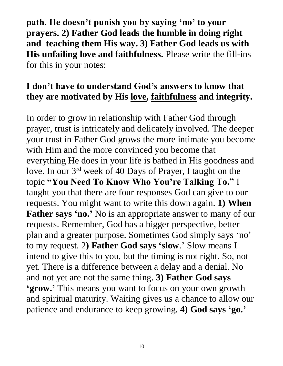**path. He doesn't punish you by saying 'no' to your prayers. 2) Father God leads the humble in doing right and teaching them His way. 3) Father God leads us with His unfailing love and faithfulness.** Please write the fill-ins for this in your notes:

#### **I don't have to understand God's answers to know that they are motivated by His love, faithfulness and integrity.**

In order to grow in relationship with Father God through prayer, trust is intricately and delicately involved. The deeper your trust in Father God grows the more intimate you become with Him and the more convinced you become that everything He does in your life is bathed in His goodness and love. In our 3rd week of 40 Days of Prayer, I taught on the topic **"You Need To Know Who You're Talking To."** I taught you that there are four responses God can give to our requests. You might want to write this down again. **1) When Father says 'no.'** No is an appropriate answer to many of our requests. Remember, God has a bigger perspective, better plan and a greater purpose. Sometimes God simply says 'no' to my request. 2**) Father God says 'slow**.' Slow means I intend to give this to you, but the timing is not right. So, not yet. There is a difference between a delay and a denial. No and not yet are not the same thing. **3) Father God says 'grow.'** This means you want to focus on your own growth and spiritual maturity. Waiting gives us a chance to allow our patience and endurance to keep growing. **4) God says 'go.'**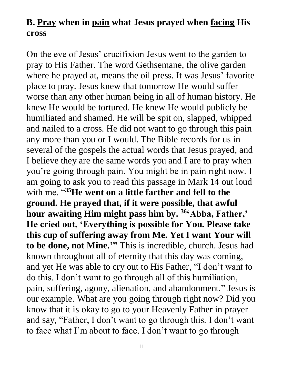#### **B. Pray when in pain what Jesus prayed when facing His cross**

On the eve of Jesus' crucifixion Jesus went to the garden to pray to His Father. The word Gethsemane, the olive garden where he prayed at, means the oil press. It was Jesus' favorite place to pray. Jesus knew that tomorrow He would suffer worse than any other human being in all of human history. He knew He would be tortured. He knew He would publicly be humiliated and shamed. He will be spit on, slapped, whipped and nailed to a cross. He did not want to go through this pain any more than you or I would. The Bible records for us in several of the gospels the actual words that Jesus prayed, and I believe they are the same words you and I are to pray when you're going through pain. You might be in pain right now. I am going to ask you to read this passage in Mark 14 out loud with me. "**<sup>35</sup>He went on a little farther and fell to the ground. He prayed that, if it were possible, that awful hour awaiting Him might pass him by. <sup>36</sup>'Abba, Father,' He cried out, 'Everything is possible for You. Please take this cup of suffering away from Me. Yet I want Your will to be done, not Mine.'"** This is incredible, church. Jesus had known throughout all of eternity that this day was coming, and yet He was able to cry out to His Father, "I don't want to do this. I don't want to go through all of this humiliation, pain, suffering, agony, alienation, and abandonment." Jesus is our example. What are you going through right now? Did you know that it is okay to go to your Heavenly Father in prayer and say, "Father, I don't want to go through this. I don't want to face what I'm about to face. I don't want to go through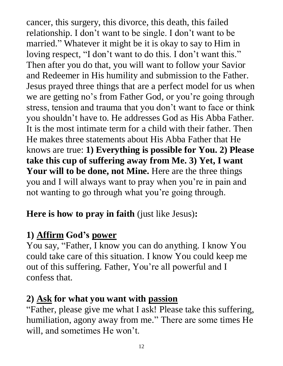cancer, this surgery, this divorce, this death, this failed relationship. I don't want to be single. I don't want to be married." Whatever it might be it is okay to say to Him in loving respect, "I don't want to do this. I don't want this." Then after you do that, you will want to follow your Savior and Redeemer in His humility and submission to the Father. Jesus prayed three things that are a perfect model for us when we are getting no's from Father God, or you're going through stress, tension and trauma that you don't want to face or think you shouldn't have to. He addresses God as His Abba Father. It is the most intimate term for a child with their father. Then He makes three statements about His Abba Father that He knows are true: **1) Everything is possible for You. 2) Please take this cup of suffering away from Me. 3) Yet, I want**  Your will to be done, not Mine. Here are the three things you and I will always want to pray when you're in pain and not wanting to go through what you're going through.

## **Here is how to pray in faith** (just like Jesus)**:**

# **1) Affirm God's power**

You say, "Father, I know you can do anything. I know You could take care of this situation. I know You could keep me out of this suffering. Father, You're all powerful and I confess that.

## **2) Ask for what you want with passion**

"Father, please give me what I ask! Please take this suffering, humiliation, agony away from me." There are some times He will, and sometimes He won't.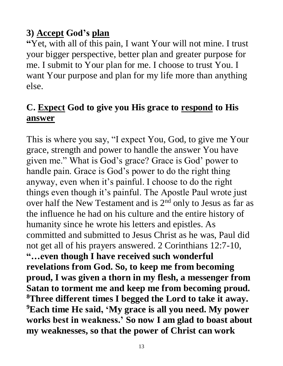## **3) Accept God's plan**

**"**Yet, with all of this pain, I want Your will not mine. I trust your bigger perspective, better plan and greater purpose for me. I submit to Your plan for me. I choose to trust You. I want Your purpose and plan for my life more than anything else.

## **C. Expect God to give you His grace to respond to His answer**

This is where you say, "I expect You, God, to give me Your grace, strength and power to handle the answer You have given me." What is God's grace? Grace is God' power to handle pain. Grace is God's power to do the right thing anyway, even when it's painful. I choose to do the right things even though it's painful. The Apostle Paul wrote just over half the New Testament and is 2<sup>nd</sup> only to Jesus as far as the influence he had on his culture and the entire history of humanity since he wrote his letters and epistles. As committed and submitted to Jesus Christ as he was, Paul did not get all of his prayers answered. 2 Corinthians 12:7-10, **"…even though I have received such wonderful revelations from God. So, to keep me from becoming proud, I was given a thorn in my flesh, a messenger from Satan to torment me and keep me from becoming proud. <sup>8</sup>Three different times I begged the Lord to take it away. <sup>9</sup>Each time He said, 'My grace is all you need. My power works best in weakness.' So now I am glad to boast about my weaknesses, so that the power of Christ can work**